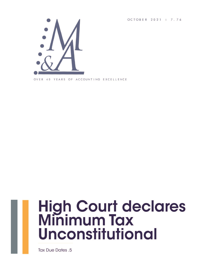OCTOBER 2021 | 7.76



OVER 40 YEARS OF ACCOUNTING EXCELLENCE



# **High Court declares<br>Minimum Tax Unconstitutional**

**Tax Due Dates .5**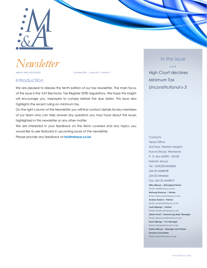

*Newsletter*

*MBAYA AND ASSOCIATES October 2021 | Issue 076 | Volume 7*

### *Introduction*

We are pleased to release the tenth edition of our tax newsletter. The main focus of this issue is the VAT Electronic Tax Register (ETR) regulations. We hope this insight will encourage you, taxpayers to comply before the due dates. This issue also highlights the recent ruling on minimum tax.

On the right column of the Newsletter you will find contact details for key members of our team who can help answer any questions you may have about the issues highlighted in this newsletter or any other matter.

We are interested in your feedback on the items covered and any topics you would like to see featured in upcoming issues of the newsletter.

Please provide any feedback at **[tax@mbaya.co.ke](mailto:tax@mbaya.co.ke)**

### In this issue

• • • *High Court declares Minimum Tax Unconstitutional » 3*

Head Office 3rd Floor, Western Heights Karuna Road, Westlands P. O. Box 45390 – 00100 Nairobi, Kenya Tel. +254(20)4443868 254 20 4448938 254 20 4446466 Fax: 254 20 4449819 **Mike Mbaya | Managing Partner** Email: mike@mbaya.co.ke **Muhungi Kanyoro | Partner** Email: mkanyoro@mbaya.co.ke **Andrew Bulemi | Partner** Email: abulemi@mbaya.co.ke **Leah Nganga | Partner** Email: lwambui@mbaya.co.ke **Abner Fundi | Outsourcing Dept. Manager** Email: abner.fundi@mbaya.co.ke **Kevin Njenga | Tax Manager** Email: knjenga@mbaya.co.ke **Darlyn Mbaya | Manager and Partner Savanna Associates**

**Contacts** 

Email: darlyn@mbaya.co.ke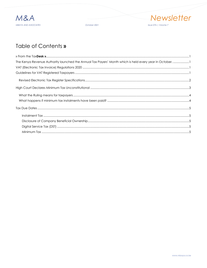

October 2021



### Table of Contents »

| The Kenya Revenue Authority launched the Annual Tax Payers' Month which is held every year in October. 1 |  |
|----------------------------------------------------------------------------------------------------------|--|
|                                                                                                          |  |
|                                                                                                          |  |
|                                                                                                          |  |
|                                                                                                          |  |
|                                                                                                          |  |
|                                                                                                          |  |
|                                                                                                          |  |
|                                                                                                          |  |
|                                                                                                          |  |
|                                                                                                          |  |
|                                                                                                          |  |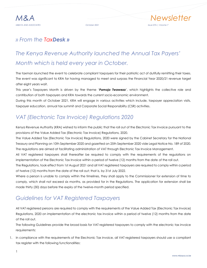

### *» From the TaxDesk »*

### *The Kenya Revenue Authority launched the Annual Tax Payers' Month which is held every year in October.*

The taxman launched the event to celebrate compliant taxpayers for their patriotic act of dutifully remitting their taxes. The event was significant to KRA for having managed to meet and surpass the Financial Year 2020/21 revenue target after eight years wait.

This year's Taxpayers Month is driven by the theme '*Pamoja Twaweza*', which highlights the collective role and contribution of both taxpayers and KRA towards the current socio-economic environment.

During this month of October 2021, KRA will engage in various activities which include, taxpayer appreciation visits, taxpayer education, annual tax summit and Corporate Social Responsibility (CSR) activities.

### *VAT (Electronic Tax Invoice) Regulations 2020*

Kenya Revenue Authority (KRA) wished to inform the public that the roll out of the Electronic Tax Invoice pursuant to the provisions of the Value Added Tax (Electronic Tax Invoice) Regulations, 2020.

The Value Added Tax (Electronic Tax Invoice) Regulations, 2020 were signed by the Cabinet Secretary for the National Treasury and Planning on 10th September 2020 and gazetted on 25th September 2020 vide Legal Notice No. 189 of 2020. The regulations are aimed at facilitating administration of VAT through Electronic Tax Invoice Management.

All VAT registered taxpayers shall thereafter be required to comply with the requirements of the regulations on implementation of the Electronic Tax Invoice within a period of twelve (12) months from the date of the roll out.

The Regulations, took effect from 1st August 2021 and all VAT registered taxpayers are required to comply within a period of twelve (12) months from the date of the roll out; that is, by 31st July 2022.

Where a person is unable to comply within the timelines, they shall apply to the Commissioner for extension of time to comply, which shall not exceed six months, as provided for in the Regulations. The application for extension shall be made thirty (30) days before the expiry of the twelve-month period specified.

### *Guidelines for VAT Registered Taxpayers*

All VAT registered persons are required to comply with the requirements of the Value Added Tax (Electronic Tax Invoice) Regulations, 2020 on implementation of the electronic tax invoice within a period of twelve (12) months from the date of the roll out.

The following Guidelines provide the broad basis for VAT registered taxpayers to comply with the electronic tax invoice requirements:

1. In compliance with the requirements of the Electronic Tax invoice, all VAT registered taxpayers should use a compliant tax register with the following functionalities: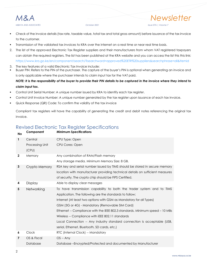*M&A Newsletter MBAYA AND ASSOCIATES October 2021 Issue 076 | Volume 7*

- Check of the invoice details (tax rate, taxable value, total tax and total gross amount) before issuance of the tax invoice to the customer.
- Transmission of the validated tax invoices to KRA over the internet on a real time or near real time basis.
- 2. The list of the approved Electronic Tax Register suppliers and their manufacturers from whom VAT registered taxpayers can obtain the required registers. The list has been published at the KRA website and you can access the list this this link: <https://www.kra.go.ke/en/component/search/?searchword=approved%20ETR%20suppliers&searchphrase=all&Itemid>
- 3. The key features of a valid Electronic Tax Invoice include:
- Buyer PIN: Refers to the PIN of the purchaser. The capture of the buyer's PIN is optional when generating an invoice and is only applicable where the purchaser intends to claim input tax for the VAT paid.

### *NOTE: It is the responsibility of the buyer to provide their PIN details to be captured in the invoice where they intend to claim input tax.*

- Control Unit Serial Number: A unique number issued by KRA to identify each tax register.
- Control Unit Invoice Number: A unique number generated by the tax register upon issuance of each tax invoice.
- Quick Response (QR) Code: To confirm the validity of the tax invoice

Compliant tax registers will have the capability of generating the credit and debit notes referencing the original tax invoice.

### Revised Electronic Tax Register Specifications

| <b>No</b>      | Component                | <b>Minimum Specifications</b>                                                 |
|----------------|--------------------------|-------------------------------------------------------------------------------|
| $\mathbf{1}$   | Central                  | CPU Type: Open                                                                |
|                | Processing Unit<br>(CPU) | CPU Cores: Open                                                               |
| $\mathbf{2}$   | Memory                   | Any combination of RAM/Flash memory                                           |
|                |                          | Any storage media. Minimum Memory Size: 8 GB.                                 |
| 3              | Crypto Memory            | RSA key and serial number issued by TIMS should be stored in secure memory    |
|                |                          | location with manufacturer providing technical details on sufficient measures |
|                |                          | of security. The crypto chip should be FIPS Certified.                        |
| 4              | Display                  | Able to display clear messages                                                |
| 5              | Networking               | To have transmission capability to both the trader system and to TIMS         |
|                |                          | Application. The following are the standards to follow;                       |
|                |                          | Internet (At least two options with GSM as Mandatory for all Types)           |
|                |                          | GSM (3G or 4G) - Mandatory (Removable SIM Card)                               |
|                |                          | Ethernet -- Compliance with the IEEE 802.3 standards. Minimum speed - 10 MBs  |
|                |                          | Wireless -- Compliance with IEEE 802.11 standards                             |
|                |                          | Local Connection -- Any industry standard connection is acceptable (USB,      |
|                |                          | serial, Ethernet, Bluetooth, SD cards, etc.)                                  |
| 6              | Clock                    | RTC (Internal Clock) -- Mandatory                                             |
| $\overline{7}$ | OS & Fiscal              | $OS - Any$                                                                    |
|                | Database                 | Database-Encrypted/Protected and documented by Manufacturer                   |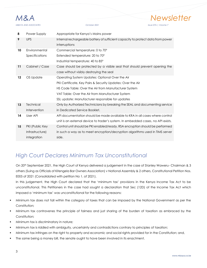

| 8  | Power Supply     | Appropriate for Kenya's Mains power                                              |
|----|------------------|----------------------------------------------------------------------------------|
| 9  | <b>UPS</b>       | Internal rechargeable battery of sufficient capacity to protect data from power  |
|    |                  | interruptions                                                                    |
| 10 | Environmental    | Commercial temperature: 0 to 70°                                                 |
|    | Specifications   | Extended temperature: 20 to 70°                                                  |
|    |                  | Industrial temperature: 40 to 85°                                                |
| 11 | Cabinet / Case   | Case should be protected by a visible seal that should prevent opening the       |
|    |                  | case without visibly destroying the seal                                         |
| 12 | OS Update        | Operating System Updates: Optional Over the Air                                  |
|    |                  | PKI Certificate, Key Pairs & Security Updates: Over the Air                      |
|    |                  | HS Code Table: Over the Air from Manufacturer System                             |
|    |                  | VAT Table: Over the Air from Manufacturer System                                 |
|    |                  | SSL update: Manufacturer responsible for updates                                 |
| 13 | <b>Technical</b> | Only by Authorized Technicians by breaking the SEAL and documenting service      |
|    | Intervention     | in Dedicated Service Booklet.                                                    |
| 14 | User API         | API documentation should be made available to KRA in all cases where control     |
|    |                  | unit is an external device to trader's system. In embedded cases, no API exists. |
| 15 | PKI (Public Key  | Control unit should be PKI enabled/ready. RSA encryption should be performed     |
|    | Infrastructure)  | in such a way as to meet encryption/decryption algorithms used in TIMS server    |
|    | integration      | side.                                                                            |
|    |                  |                                                                                  |

### *High Court Declares Minimum Tax Unconstitutional*

On 20th September 2021, the High Court of Kenya delivered a judgement in the case of Stanley Waweru- Chairman & 3 others (Suing as Officials of Kitengela Bar Owners Association) v National Assembly & 2 others, Constitutional Petition Nos. E005 of 2021 (Consolidated with petition No 1. of 2021).

In this judgement, the High Court declared that the 'minimum tax' provisions in the Kenya Income Tax Act to be unconstitutional. This Petitioners in the case had sought a declaration that Sec (12D) of the Income Tax Act which imposed a 'minimum tax' was unconstitutional for the following reasons:

- Minimum tax does not fall within the category of taxes that can be imposed by the National Government as per the Constitution;
- Minimum tax contravenes the principle of fairness and just sharing of the burden of taxation as embraced by the Constitution;
- Minimum tax is discriminatory in nature;
- Minimum tax is riddled with ambiguity, uncertainty and contradictions contrary to principles of taxation;
- Minimum tax infringes on the right to property and economic and social rights provided for in the Constitution; and,
- The same being a money bill, the senate ought to have been involved in its enactment.

*M&A Newsletter*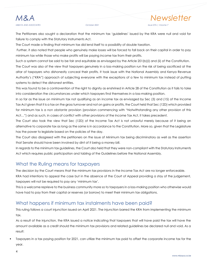## *M&A Newsletter*

### *MBAYA AND ASSOCIATES October 2021 Issue 076 | Volume 7*

The Petitioners also sought a declaration that the minimum tax 'guidelines' issued by the KRA were null and void for failure to comply with the Statutory Instruments Act.

The Court made a finding that minimum tax did lend itself to a possibility of double taxation.

Further, it also noted that people who genuinely make losses will be forced to fall back on their capital in order to pay minimum tax while those who make profits will be paying income tax from their profits.

Such a system cannot be said to be fair and equitable as envisaged by the Article 201(b)(i) and (ii) of the Constitution. The Court was also of the view that taxpayers genuinely in a loss-making position run the risk of being sacrificed at the altar of taxpayers who dishonestly conceal their profits. It took issue with the National Assembly and Kenya Revenue Authority's ("KRA") approach of subjecting everyone with the exceptions of a few to minimum tax instead of putting systems to detect the dishonest entities.

This was found to be a contravention of the right to dignity as enshrined in Article 28 of the Constitution as it fails to take into consideration the circumstances under which taxpayers find themselves in a loss-making position.

In so far as the issue on minimum tax not qualifying as an income tax as envisaged by Sec (3) and (15) of the Income Tax Act given that it is a tax on the gross turnover and not on gains or profits, the Court held that Sec (12D) which provided for minimum tax is a *non obstante* provision (provision commencing with "Notwithstanding any other provision of this Act…") and as such, in cases of conflict with other provisions of the Income Tax Act, it takes precedent.

The Court also took the view that Sec (12D) of the Income Tax Act is not unlawful merely because of it being an alternative to corporate tax as long as the same is in accordance to the Constitution. More so, given that the Legislature has the power to legislate based on the policies of the day.

The Court also disagreed with the petitioners on the issue of Minimum tax being discriminatory as well as the assertion that Senate should have been involved by dint of it being a money bill.

In regards to the minimum tax guidelines, the Court also held that they were non-compliant with the Statutory Instruments Act which requires public participation and tabling of the Guidelines before the National Assembly.

### What the Ruling means for taxpayers

The decision by the Court means that the minimum tax provisions in the Income Tax Act are no longer enforceable. KRA had intentions to appeal the case but in the absence of the Court of Appeal providing a stay of the judgement, taxpayers will not be required to pay any 'minimum tax'.

This is a welcome reprieve to the business community more so to taxpayers in a loss-making position who otherwise would have had to pay from their capital or reserves (or borrow) to meet their minimum tax obligations.

### What happens if minimum tax instalments have been paid?

This ruling follows a court injunction issued on April 2021. The injunction barred the KRA from implementing the minimum tax.

As a result of the injunction, the KRA issued a notice indicating that taxpayers that will have paid the tax will have the amount available as a credit should the minimum tax provisions and related guidelines be declared null and void. As a result:

Taxpayers in a tax paying position for 2021, can utilize the minimum tax paid to offset the corporate income tax for the year.